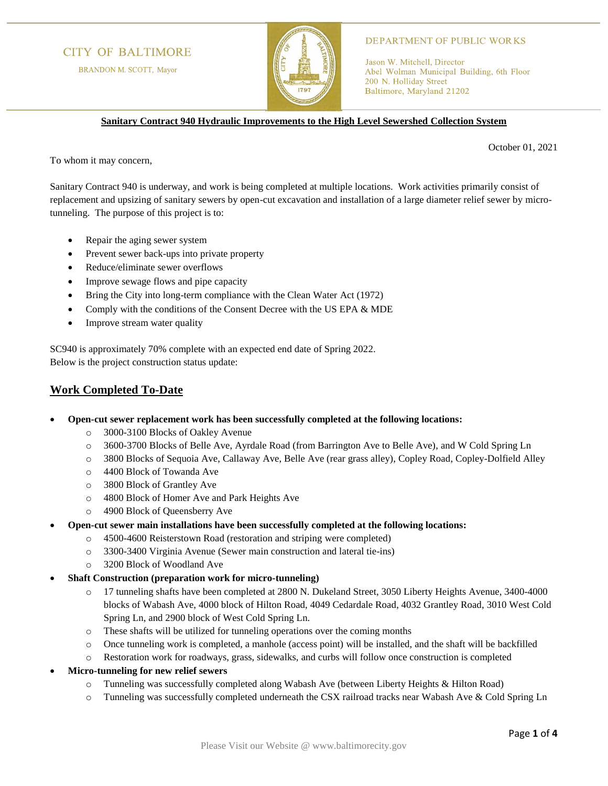## **CITY OF BALTIMORE**

BRANDON M. SCOTT, Mayor



#### **DEPARTMENT OF PUBLIC WORKS**

Jason W. Mitchell, Director Abel Wolman Municipal Building, 6th Floor 200 N. Holliday Street Baltimore, Maryland 21202

**Sanitary Contract 940 Hydraulic Improvements to the High Level Sewershed Collection System**

October 01, 2021

To whom it may concern,

Sanitary Contract 940 is underway, and work is being completed at multiple locations. Work activities primarily consist of replacement and upsizing of sanitary sewers by open-cut excavation and installation of a large diameter relief sewer by microtunneling. The purpose of this project is to:

- Repair the aging sewer system
- Prevent sewer back-ups into private property
- Reduce/eliminate sewer overflows
- Improve sewage flows and pipe capacity
- Bring the City into long-term compliance with the Clean Water Act (1972)
- Comply with the conditions of the Consent Decree with the US EPA & MDE
- Improve stream water quality

SC940 is approximately 70% complete with an expected end date of Spring 2022. Below is the project construction status update:

### **Work Completed To-Date**

- **Open-cut sewer replacement work has been successfully completed at the following locations:**
	- o 3000-3100 Blocks of Oakley Avenue
	- o 3600-3700 Blocks of Belle Ave, Ayrdale Road (from Barrington Ave to Belle Ave), and W Cold Spring Ln
	- o 3800 Blocks of Sequoia Ave, Callaway Ave, Belle Ave (rear grass alley), Copley Road, Copley-Dolfield Alley
	- o 4400 Block of Towanda Ave
	- o 3800 Block of Grantley Ave
	- o 4800 Block of Homer Ave and Park Heights Ave
	- o 4900 Block of Queensberry Ave
- **Open-cut sewer main installations have been successfully completed at the following locations:**
	- o 4500-4600 Reisterstown Road (restoration and striping were completed)
	- o 3300-3400 Virginia Avenue (Sewer main construction and lateral tie-ins)
	- o 3200 Block of Woodland Ave
- **Shaft Construction (preparation work for micro-tunneling)**
	- o 17 tunneling shafts have been completed at 2800 N. Dukeland Street, 3050 Liberty Heights Avenue, 3400-4000 blocks of Wabash Ave, 4000 block of Hilton Road, 4049 Cedardale Road, 4032 Grantley Road, 3010 West Cold Spring Ln, and 2900 block of West Cold Spring Ln.
	- o These shafts will be utilized for tunneling operations over the coming months
	- o Once tunneling work is completed, a manhole (access point) will be installed, and the shaft will be backfilled
	- o Restoration work for roadways, grass, sidewalks, and curbs will follow once construction is completed
- **Micro-tunneling for new relief sewers**
	- o Tunneling was successfully completed along Wabash Ave (between Liberty Heights & Hilton Road)
	- o Tunneling was successfully completed underneath the CSX railroad tracks near Wabash Ave & Cold Spring Ln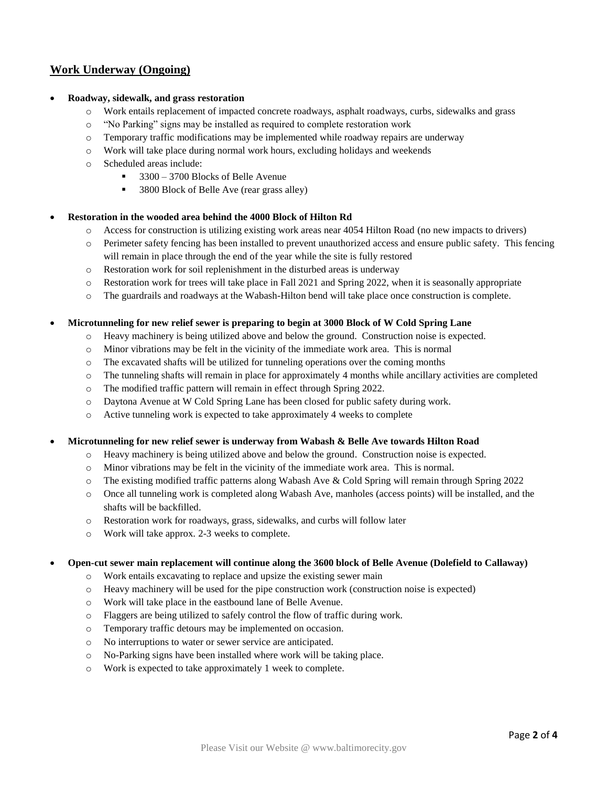# **Work Underway (Ongoing)**

### • **Roadway, sidewalk, and grass restoration**

- o Work entails replacement of impacted concrete roadways, asphalt roadways, curbs, sidewalks and grass
- o "No Parking" signs may be installed as required to complete restoration work
- $\circ$  Temporary traffic modifications may be implemented while roadway repairs are underway
- o Work will take place during normal work hours, excluding holidays and weekends
- o Scheduled areas include:
	- 3300 3700 Blocks of Belle Avenue
	- 3800 Block of Belle Ave (rear grass alley)

#### • **Restoration in the wooded area behind the 4000 Block of Hilton Rd**

- o Access for construction is utilizing existing work areas near 4054 Hilton Road (no new impacts to drivers)
- o Perimeter safety fencing has been installed to prevent unauthorized access and ensure public safety. This fencing will remain in place through the end of the year while the site is fully restored
- o Restoration work for soil replenishment in the disturbed areas is underway
- o Restoration work for trees will take place in Fall 2021 and Spring 2022, when it is seasonally appropriate
- o The guardrails and roadways at the Wabash-Hilton bend will take place once construction is complete.

#### • **Microtunneling for new relief sewer is preparing to begin at 3000 Block of W Cold Spring Lane**

- o Heavy machinery is being utilized above and below the ground. Construction noise is expected.
- o Minor vibrations may be felt in the vicinity of the immediate work area. This is normal
- $\circ$  The excavated shafts will be utilized for tunneling operations over the coming months
- o The tunneling shafts will remain in place for approximately 4 months while ancillary activities are completed
- o The modified traffic pattern will remain in effect through Spring 2022.
- o Daytona Avenue at W Cold Spring Lane has been closed for public safety during work.
- o Active tunneling work is expected to take approximately 4 weeks to complete

• **Microtunneling for new relief sewer is underway from Wabash & Belle Ave towards Hilton Road**

- o Heavy machinery is being utilized above and below the ground. Construction noise is expected.
- o Minor vibrations may be felt in the vicinity of the immediate work area. This is normal.
- o The existing modified traffic patterns along Wabash Ave & Cold Spring will remain through Spring 2022
- o Once all tunneling work is completed along Wabash Ave, manholes (access points) will be installed, and the shafts will be backfilled.
- o Restoration work for roadways, grass, sidewalks, and curbs will follow later
- o Work will take approx. 2-3 weeks to complete.

#### • **Open-cut sewer main replacement will continue along the 3600 block of Belle Avenue (Dolefield to Callaway)**

- o Work entails excavating to replace and upsize the existing sewer main
- o Heavy machinery will be used for the pipe construction work (construction noise is expected)
- o Work will take place in the eastbound lane of Belle Avenue.
- o Flaggers are being utilized to safely control the flow of traffic during work.
- o Temporary traffic detours may be implemented on occasion.
- o No interruptions to water or sewer service are anticipated.
- o No-Parking signs have been installed where work will be taking place.
- o Work is expected to take approximately 1 week to complete.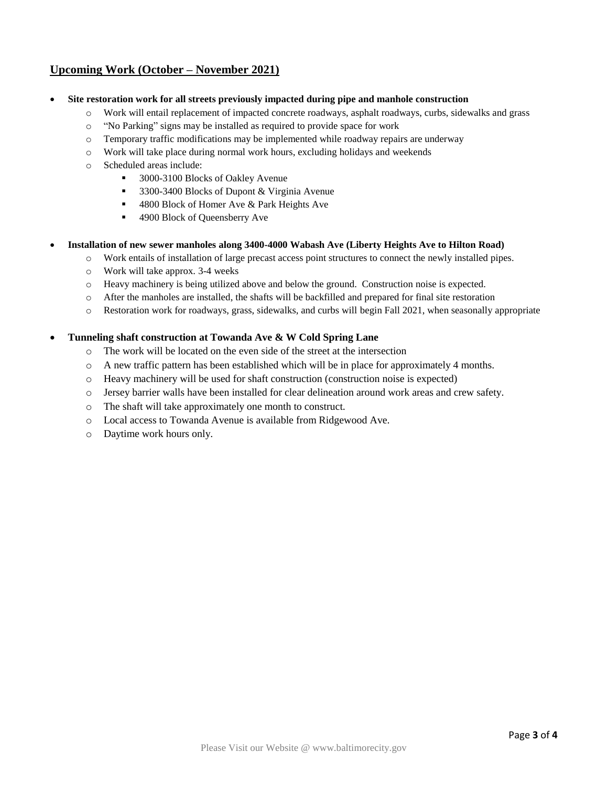# **Upcoming Work (October – November 2021)**

- **Site restoration work for all streets previously impacted during pipe and manhole construction**
	- o Work will entail replacement of impacted concrete roadways, asphalt roadways, curbs, sidewalks and grass
	- o "No Parking" signs may be installed as required to provide space for work
	- o Temporary traffic modifications may be implemented while roadway repairs are underway
	- o Work will take place during normal work hours, excluding holidays and weekends
	- o Scheduled areas include:
		- 3000-3100 Blocks of Oakley Avenue
		- 3300-3400 Blocks of Dupont & Virginia Avenue
		- 4800 Block of Homer Ave & Park Heights Ave
		- 4900 Block of Queensberry Ave
- **Installation of new sewer manholes along 3400-4000 Wabash Ave (Liberty Heights Ave to Hilton Road)**
	- o Work entails of installation of large precast access point structures to connect the newly installed pipes.
	- o Work will take approx. 3-4 weeks
	- o Heavy machinery is being utilized above and below the ground. Construction noise is expected.
	- o After the manholes are installed, the shafts will be backfilled and prepared for final site restoration
	- o Restoration work for roadways, grass, sidewalks, and curbs will begin Fall 2021, when seasonally appropriate

### • **Tunneling shaft construction at Towanda Ave & W Cold Spring Lane**

- o The work will be located on the even side of the street at the intersection
- o A new traffic pattern has been established which will be in place for approximately 4 months.
- o Heavy machinery will be used for shaft construction (construction noise is expected)
- o Jersey barrier walls have been installed for clear delineation around work areas and crew safety.
- o The shaft will take approximately one month to construct.
- o Local access to Towanda Avenue is available from Ridgewood Ave.
- o Daytime work hours only.